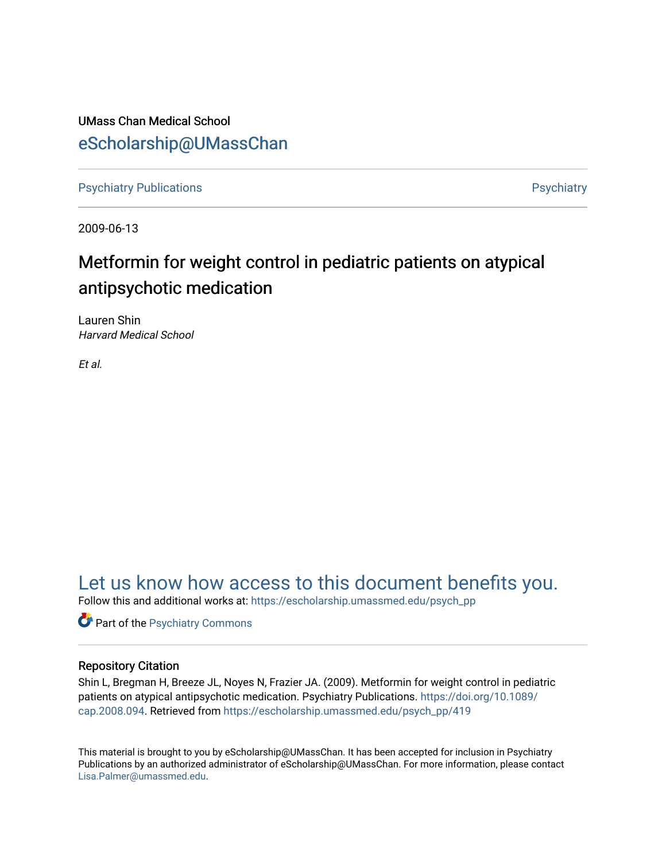UMass Chan Medical School [eScholarship@UMassChan](https://escholarship.umassmed.edu/) 

[Psychiatry Publications](https://escholarship.umassmed.edu/psych_pp) **Provides** [Psychiatry](https://escholarship.umassmed.edu/psychiatry) Psychiatry

2009-06-13

# Metformin for weight control in pediatric patients on atypical antipsychotic medication

Lauren Shin Harvard Medical School

Et al.

# [Let us know how access to this document benefits you.](https://arcsapps.umassmed.edu/redcap/surveys/?s=XWRHNF9EJE)

Follow this and additional works at: [https://escholarship.umassmed.edu/psych\\_pp](https://escholarship.umassmed.edu/psych_pp?utm_source=escholarship.umassmed.edu%2Fpsych_pp%2F419&utm_medium=PDF&utm_campaign=PDFCoverPages) 

**Part of the Psychiatry Commons** 

### Repository Citation

Shin L, Bregman H, Breeze JL, Noyes N, Frazier JA. (2009). Metformin for weight control in pediatric patients on atypical antipsychotic medication. Psychiatry Publications. [https://doi.org/10.1089/](https://doi.org/10.1089/cap.2008.094) [cap.2008.094.](https://doi.org/10.1089/cap.2008.094) Retrieved from [https://escholarship.umassmed.edu/psych\\_pp/419](https://escholarship.umassmed.edu/psych_pp/419?utm_source=escholarship.umassmed.edu%2Fpsych_pp%2F419&utm_medium=PDF&utm_campaign=PDFCoverPages)

This material is brought to you by eScholarship@UMassChan. It has been accepted for inclusion in Psychiatry Publications by an authorized administrator of eScholarship@UMassChan. For more information, please contact [Lisa.Palmer@umassmed.edu](mailto:Lisa.Palmer@umassmed.edu).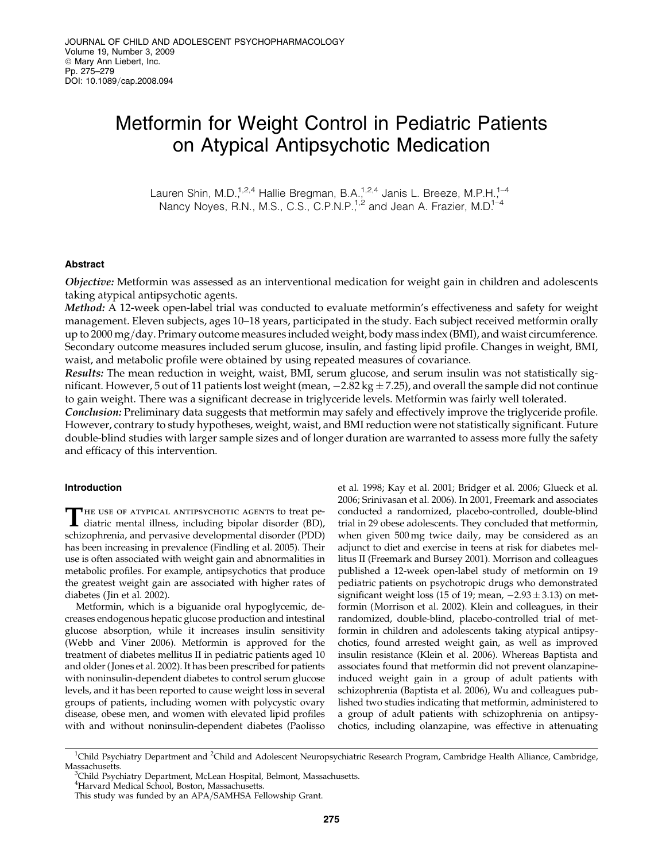### Metformin for Weight Control in Pediatric Patients on Atypical Antipsychotic Medication

Lauren Shin, M.D.<sup>1,2,4</sup> Hallie Bregman, B.A.<sup>1,2,4</sup> Janis L. Breeze, M.P.H.<sup>1-4</sup> Nancy Noyes, R.N., M.S., C.S., C.P.N.P.<sup>1,2</sup> and Jean A. Frazier, M.D.<sup>1-4</sup>

#### Abstract

Objective: Metformin was assessed as an interventional medication for weight gain in children and adolescents taking atypical antipsychotic agents.

Method: A 12-week open-label trial was conducted to evaluate metformin's effectiveness and safety for weight management. Eleven subjects, ages 10–18 years, participated in the study. Each subject received metformin orally up to 2000 mg/day. Primary outcome measures included weight, body mass index (BMI), and waist circumference. Secondary outcome measures included serum glucose, insulin, and fasting lipid profile. Changes in weight, BMI, waist, and metabolic profile were obtained by using repeated measures of covariance.

Results: The mean reduction in weight, waist, BMI, serum glucose, and serum insulin was not statistically significant. However, 5 out of 11 patients lost weight (mean,  $-2.82$  kg  $\pm$  7.25), and overall the sample did not continue to gain weight. There was a significant decrease in triglyceride levels. Metformin was fairly well tolerated.

**Conclusion:** Preliminary data suggests that metformin may safely and effectively improve the triglyceride profile. However, contrary to study hypotheses, weight, waist, and BMI reduction were not statistically significant. Future double-blind studies with larger sample sizes and of longer duration are warranted to assess more fully the safety and efficacy of this intervention.

#### Introduction

THE USE OF ATYPICAL ANTIPSYCHOTIC AGENTS to treat pediatric mental illness, including bipolar disorder (BD), schizophrenia, and pervasive developmental disorder (PDD) has been increasing in prevalence (Findling et al. 2005). Their use is often associated with weight gain and abnormalities in metabolic profiles. For example, antipsychotics that produce the greatest weight gain are associated with higher rates of diabetes ( Jin et al. 2002).

Metformin, which is a biguanide oral hypoglycemic, decreases endogenous hepatic glucose production and intestinal glucose absorption, while it increases insulin sensitivity (Webb and Viner 2006). Metformin is approved for the treatment of diabetes mellitus II in pediatric patients aged 10 and older ( Jones et al. 2002). It has been prescribed for patients with noninsulin-dependent diabetes to control serum glucose levels, and it has been reported to cause weight loss in several groups of patients, including women with polycystic ovary disease, obese men, and women with elevated lipid profiles with and without noninsulin-dependent diabetes (Paolisso et al. 1998; Kay et al. 2001; Bridger et al. 2006; Glueck et al. 2006; Srinivasan et al. 2006). In 2001, Freemark and associates conducted a randomized, placebo-controlled, double-blind trial in 29 obese adolescents. They concluded that metformin, when given 500 mg twice daily, may be considered as an adjunct to diet and exercise in teens at risk for diabetes mellitus II (Freemark and Bursey 2001). Morrison and colleagues published a 12-week open-label study of metformin on 19 pediatric patients on psychotropic drugs who demonstrated significant weight loss (15 of 19; mean,  $-2.93 \pm 3.13$ ) on metformin (Morrison et al. 2002). Klein and colleagues, in their randomized, double-blind, placebo-controlled trial of metformin in children and adolescents taking atypical antipsychotics, found arrested weight gain, as well as improved insulin resistance (Klein et al. 2006). Whereas Baptista and associates found that metformin did not prevent olanzapineinduced weight gain in a group of adult patients with schizophrenia (Baptista et al. 2006), Wu and colleagues published two studies indicating that metformin, administered to a group of adult patients with schizophrenia on antipsychotics, including olanzapine, was effective in attenuating

<sup>&</sup>lt;sup>1</sup>Child Psychiatry Department and <sup>2</sup>Child and Adolescent Neuropsychiatric Research Program, Cambridge Health Alliance, Cambridge, Massachusetts.

<sup>&</sup>lt;sup>3</sup>Child Psychiatry Department, McLean Hospital, Belmont, Massachusetts.

<sup>4</sup> Harvard Medical School, Boston, Massachusetts.

This study was funded by an APA/SAMHSA Fellowship Grant.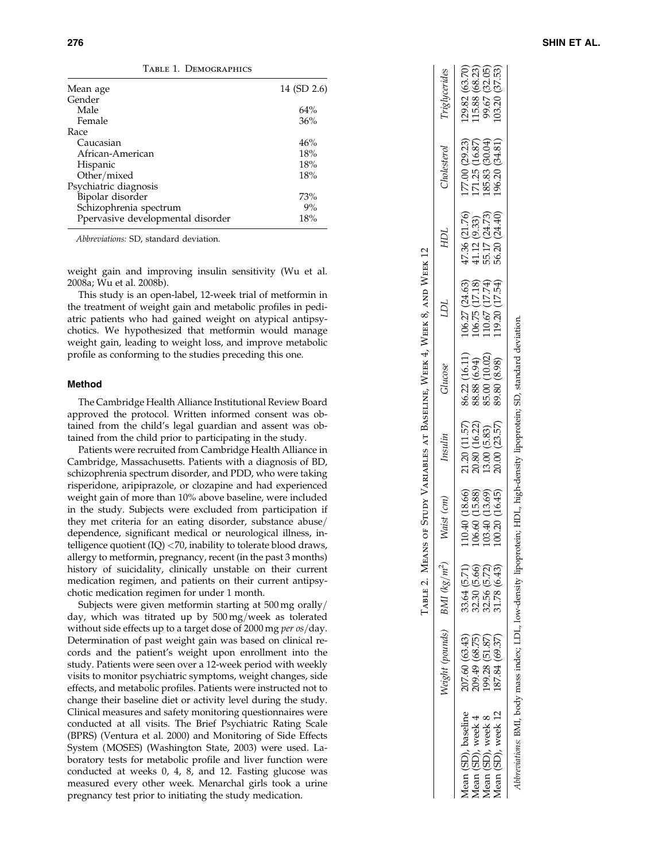| TABLE 1. DEMOGRAPHICS |  |
|-----------------------|--|
|-----------------------|--|

| Mean age                          | 14 (SD 2.6) |
|-----------------------------------|-------------|
| Gender                            |             |
| Male                              | 64%         |
| Female                            | 36%         |
| Race                              |             |
| Caucasian                         | 46%         |
| African-American                  | 18%         |
| Hispanic                          | 18%         |
| Other/mixed                       | 18%         |
| Psychiatric diagnosis             |             |
| Bipolar disorder                  | 73%         |
| Schizophrenia spectrum            | 9%          |
| Ppervasive developmental disorder | 18%         |
|                                   |             |

Abbreviations: SD, standard deviation.

weight gain and improving insulin sensitivity (Wu et al. 2008a; Wu et al. 2008b).

This study is an open-label, 12-week trial of metformin in the treatment of weight gain and metabolic profiles in pediatric patients who had gained weight on atypical antipsychotics. We hypothesized that metformin would manage weight gain, leading to weight loss, and improve metabolic profile as conforming to the studies preceding this one.

#### Method

The Cambridge Health Alliance Institutional Review Board approved the protocol. Written informed consent was obtained from the child's legal guardian and assent was obtained from the child prior to participating in the study.

Patients were recruited from Cambridge Health Alliance in Cambridge, Massachusetts. Patients with a diagnosis of BD, schizophrenia spectrum disorder, and PDD, who were taking risperidone, aripiprazole, or clozapine and had experienced weight gain of more than 10% above baseline, were included in the study. Subjects were excluded from participation if they met criteria for an eating disorder, substance abuse/ dependence, significant medical or neurological illness, intelligence quotient (IQ) <70, inability to tolerate blood draws, allergy to metformin, pregnancy, recent (in the past 3 months) history of suicidality, clinically unstable on their current medication regimen, and patients on their current antipsychotic medication regimen for under 1 month.

Subjects were given metformin starting at  $500\,\text{mg}$  orally/ day, which was titrated up by 500 mg/week as tolerated without side effects up to a target dose of 2000 mg *per os*/day. Determination of past weight gain was based on clinical records and the patient's weight upon enrollment into the study. Patients were seen over a 12-week period with weekly visits to monitor psychiatric symptoms, weight changes, side effects, and metabolic profiles. Patients were instructed not to change their baseline diet or activity level during the study. Clinical measures and safety monitoring questionnaires were conducted at all visits. The Brief Psychiatric Rating Scale (BPRS) (Ventura et al. 2000) and Monitoring of Side Effects System (MOSES) (Washington State, 2003) were used. Laboratory tests for metabolic profile and liver function were conducted at weeks 0, 4, 8, and 12. Fasting glucose was measured every other week. Menarchal girls took a urine pregnancy test prior to initiating the study medication.

 $(63.70)$ <br> $(63.29)$ <br> $(63.29)$ <br> $(57.59)$ Mean (SD), baseline 207.60 (63.43) 33.64 (5.71) 110.40 (18.66) 21.20 (11.57) 86.22 (16.11) 106.27 (24.63) 47.36 (21.76) 177.00 (29.23) 129.82 (63.70) Mean (SD), week 4 209.49 (68.75) 32.30 (5.66) 106.60 (15.88) 20.80 (16.22) 88.88 (6.94) 106.75 (17.18) 41.12 (9.33) 171.25 (16.87) 115.88 (68.23) Mean (SD), week 8 199.28 (51.87) 32.56 (5.72) 13.00 (13.69) 13.00 (13.69) 13.00 (10.67 110.67 (17.74) 55.17 (24.73) 185.83 (30.04) 99.67 (32.05) Mean (SD), week 12 187.84 (69.37) 31.78 (6.43) 20.00 (16.45) 20.00 (23.57) 89.80 (8.98) 319.20 (17.54) 56.20 (24.40) 103.20 (34.81) 103.20 (37.53) Triglycerides Weight (pounds) BMI (kg/m<sup>2</sup>) Waist (cm) Insulin Glucose LDL HDL Cholesterol Triglycerides 129.82 99.67  $103.20$  $(30.04)$  $(29.23)$ <br> $(16.87)$  $(34.81)$ Cholesterol 171.25<br>185.83<br>196.20  $\infty$ 77  $(24.73)$ <br> $(24.40)$ 47.36 (21.76)  $(9.33)$ HОГ  $41.12$ <br> $55.17$ <br> $56.20$ TABLE 2. MEANS OF STUDY VARIABLES AT BASELINE, WEEK 4, WEEK 8, AND WEEK 12 Table 2. Means of Study Variables at Baseline, Week 4, Week 8, and Week 12  $\begin{array}{c} 106.27 \ (24.63) \\ 106.75 \ (17.18) \\ 110.67 \ (17.74) \\ 119.20 \ (17.54) \end{array}$ ICI  $\begin{array}{c} 86.22 \ (16.11) \\ 88.88 \ (6.94) \\ 85.00 \ (10.02) \end{array}$  $(8.98)$  $Glucose$ 89.80 21.20 (11.57  $(23.57)$ 20.80 (16.22 13.00 (5.83) Insulin 20.00 106.60 (15.88)<br>106.60 (15.88)<br>103.40 (13.69)  $(16.45)$ 10.40 (18.66)  $\left( cm\right)$ Waist  $100.20$  $(kg/m^2)$  $\begin{array}{c} 33.64 \; (5.71) \\ 32.30 \; (5.66) \\ 32.56 \; (5.72) \\ 31.78 \; (6.43) \end{array}$ BMI Neight (pounds)  $\begin{array}{c} (63.43) \\ (68.75) \\ (51.87) \end{array}$  $(69.37)$ 207.60 (<br>209.49 (<br>199.28 (<br>187.84 ( Mean (SD), baseline Mean (SD), week 12 Mean (SD), week 4<br>Mean (SD), week 8

Abbreviations: BML body mass index; LDL, low-density lipoprotein; HDL, high-density lipoprotein; SD, standard deviation. Abbreviations: BMI, body mass index; LDL, low-density lipoprotein; HDL, high-density lipoprotein; SD, standard deviation.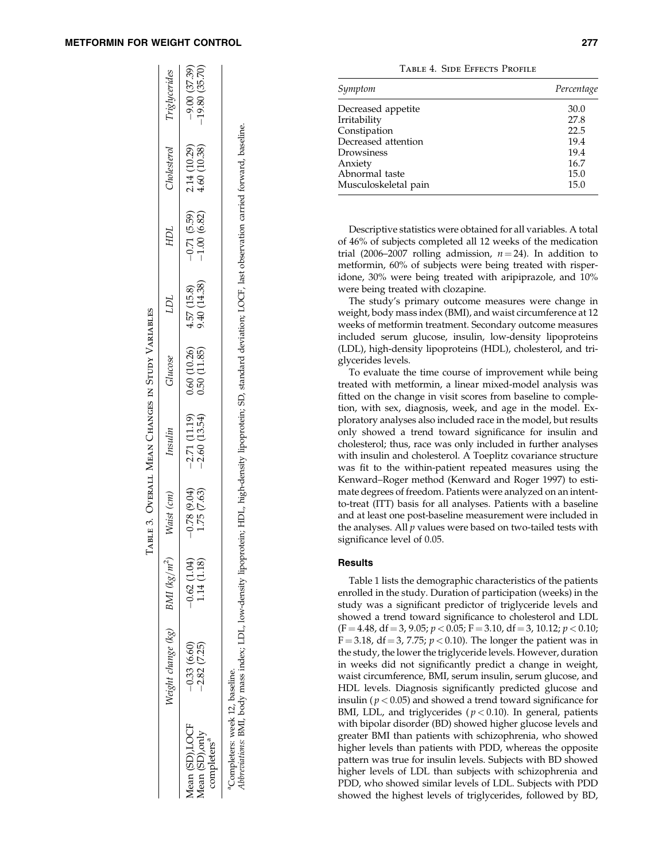|                                                              | Veight change (kg)                                                                                                                                                                                                     | $BMI$ $(kg/m^2)$     | Vaist (cm)                       | Insulin                          | Glucose                     | TCT                        | HDL                            | <b>Inolesterol</b>           | Triglycerides                     |
|--------------------------------------------------------------|------------------------------------------------------------------------------------------------------------------------------------------------------------------------------------------------------------------------|----------------------|----------------------------------|----------------------------------|-----------------------------|----------------------------|--------------------------------|------------------------------|-----------------------------------|
| Mean (SD),LOCF<br>Mean (SD), only<br>completers <sup>a</sup> | 0.33(6.60)<br>$-2.82(7.25)$                                                                                                                                                                                            | (1.04)<br>1.14(1.18) | 1.75(7.63)<br>(40.9, 87.0, 0.04) | $-2.60(13.54)$<br>$-2.71(11.19)$ | 0.60(10.26)<br>0.50 (11.85) | 9.40 (14.38)<br>4.57(15.8) | $-0.71(5.59)$<br>$-1.00(6.82)$ | 4.60 (10.38)<br>2.14 (10.29) | $-19.80(35.70)$<br>$-9.00(37.39)$ |
|                                                              | Completers: week 12, baseline.<br>A <i>bbreviations</i> : BML, body mass index; LDL, low-density lipoprotein; HDL, high-density lipoprotein; SD, standard deviation; LOCF, last observation carried forward, baseline. |                      |                                  |                                  |                             |                            |                                |                              |                                   |

Table 3. Overall Mean Changes in Study Variables

TABLE 3. OVERALL MEAN CHANGES IN STUDY VARIABLES

| TABLE 4. SIDE EFFECTS PROFILE |  |  |
|-------------------------------|--|--|
|                               |  |  |

| Symptom              | Percentage |
|----------------------|------------|
| Decreased appetite   | 30.0       |
| Irritability         | 27.8       |
| Constipation         | 22.5       |
| Decreased attention  | 19.4       |
| Drowsiness           | 19.4       |
| Anxiety              | 16.7       |
| Abnormal taste       | 15.0       |
| Musculoskeletal pain | 15.0       |
|                      |            |

Descriptive statistics were obtained for all variables. A total of 46% of subjects completed all 12 weeks of the medication trial (2006–2007 rolling admission,  $n = 24$ ). In addition to metformin, 60% of subjects were being treated with risperidone, 30% were being treated with aripiprazole, and 10% were being treated with clozapine.

The study's primary outcome measures were change in weight, body mass index (BMI), and waist circumference at 12 weeks of metformin treatment. Secondary outcome measures included serum glucose, insulin, low-density lipoproteins (LDL), high-density lipoproteins (HDL), cholesterol, and triglycerides levels.

To evaluate the time course of improvement while being treated with metformin, a linear mixed-model analysis was fitted on the change in visit scores from baseline to completion, with sex, diagnosis, week, and age in the model. Exploratory analyses also included race in the model, but results only showed a trend toward significance for insulin and cholesterol; thus, race was only included in further analyses with insulin and cholesterol. A Toeplitz covariance structure was fit to the within-patient repeated measures using the Kenward–Roger method (Kenward and Roger 1997) to estimate degrees of freedom. Patients were analyzed on an intentto-treat (ITT) basis for all analyses. Patients with a baseline and at least one post-baseline measurement were included in the analyses. All  $p$  values were based on two-tailed tests with significance level of 0.05.

#### Results

Table 1 lists the demographic characteristics of the patients enrolled in the study. Duration of participation (weeks) in the study was a significant predictor of triglyceride levels and showed a trend toward significance to cholesterol and LDL  $(F = 4.48, df = 3, 9.05; p < 0.05; F = 3.10, df = 3, 10.12; p < 0.10;$  $F = 3.18$ , df = 3, 7.75;  $p < 0.10$ ). The longer the patient was in the study, the lower the triglyceride levels. However, duration in weeks did not significantly predict a change in weight, waist circumference, BMI, serum insulin, serum glucose, and HDL levels. Diagnosis significantly predicted glucose and insulin ( $p < 0.05$ ) and showed a trend toward significance for BMI, LDL, and triglycerides ( $p < 0.10$ ). In general, patients with bipolar disorder (BD) showed higher glucose levels and greater BMI than patients with schizophrenia, who showed higher levels than patients with PDD, whereas the opposite pattern was true for insulin levels. Subjects with BD showed higher levels of LDL than subjects with schizophrenia and PDD, who showed similar levels of LDL. Subjects with PDD showed the highest levels of triglycerides, followed by BD,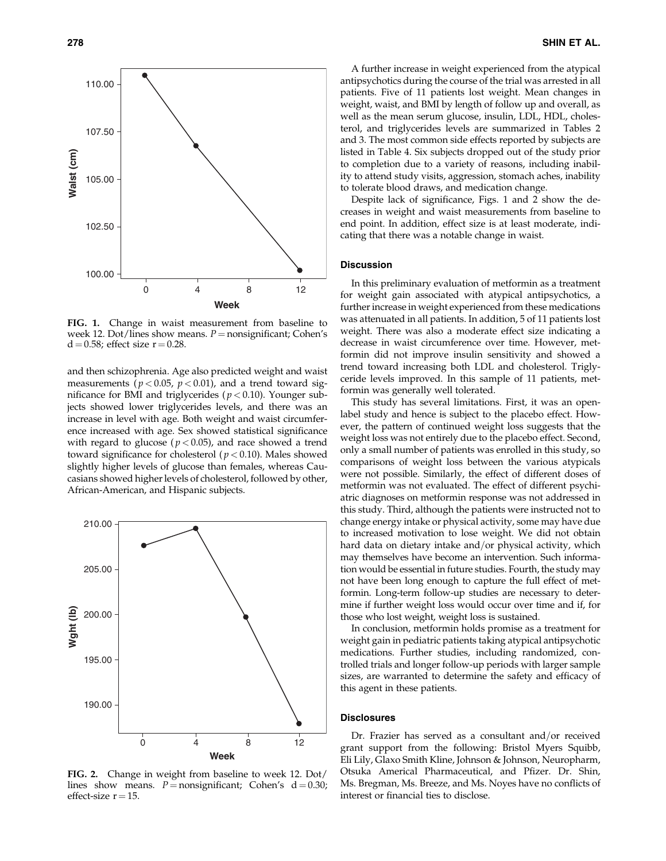

FIG. 1. Change in waist measurement from baseline to week 12. Dot/lines show means.  $P =$  nonsignificant; Cohen's  $d = 0.58$ ; effect size  $r = 0.28$ .

and then schizophrenia. Age also predicted weight and waist measurements ( $p < 0.05$ ,  $p < 0.01$ ), and a trend toward significance for BMI and triglycerides ( $p < 0.10$ ). Younger subjects showed lower triglycerides levels, and there was an increase in level with age. Both weight and waist circumference increased with age. Sex showed statistical significance with regard to glucose ( $p < 0.05$ ), and race showed a trend toward significance for cholesterol ( $p < 0.10$ ). Males showed slightly higher levels of glucose than females, whereas Caucasians showed higher levels of cholesterol, followed by other, African-American, and Hispanic subjects.



FIG. 2. Change in weight from baseline to week 12. Dot/ lines show means.  $P =$  nonsignificant; Cohen's  $d = 0.30$ ; effect-size  $r = 15$ .

A further increase in weight experienced from the atypical antipsychotics during the course of the trial was arrested in all patients. Five of 11 patients lost weight. Mean changes in weight, waist, and BMI by length of follow up and overall, as well as the mean serum glucose, insulin, LDL, HDL, cholesterol, and triglycerides levels are summarized in Tables 2 and 3. The most common side effects reported by subjects are listed in Table 4. Six subjects dropped out of the study prior to completion due to a variety of reasons, including inability to attend study visits, aggression, stomach aches, inability to tolerate blood draws, and medication change.

Despite lack of significance, Figs. 1 and 2 show the decreases in weight and waist measurements from baseline to end point. In addition, effect size is at least moderate, indicating that there was a notable change in waist.

#### **Discussion**

In this preliminary evaluation of metformin as a treatment for weight gain associated with atypical antipsychotics, a further increase in weight experienced from these medications was attenuated in all patients. In addition, 5 of 11 patients lost weight. There was also a moderate effect size indicating a decrease in waist circumference over time. However, metformin did not improve insulin sensitivity and showed a trend toward increasing both LDL and cholesterol. Triglyceride levels improved. In this sample of 11 patients, metformin was generally well tolerated.

This study has several limitations. First, it was an openlabel study and hence is subject to the placebo effect. However, the pattern of continued weight loss suggests that the weight loss was not entirely due to the placebo effect. Second, only a small number of patients was enrolled in this study, so comparisons of weight loss between the various atypicals were not possible. Similarly, the effect of different doses of metformin was not evaluated. The effect of different psychiatric diagnoses on metformin response was not addressed in this study. Third, although the patients were instructed not to change energy intake or physical activity, some may have due to increased motivation to lose weight. We did not obtain hard data on dietary intake and/or physical activity, which may themselves have become an intervention. Such information would be essential in future studies. Fourth, the study may not have been long enough to capture the full effect of metformin. Long-term follow-up studies are necessary to determine if further weight loss would occur over time and if, for those who lost weight, weight loss is sustained.

In conclusion, metformin holds promise as a treatment for weight gain in pediatric patients taking atypical antipsychotic medications. Further studies, including randomized, controlled trials and longer follow-up periods with larger sample sizes, are warranted to determine the safety and efficacy of this agent in these patients.

#### **Disclosures**

Dr. Frazier has served as a consultant and/or received grant support from the following: Bristol Myers Squibb, Eli Lily, Glaxo Smith Kline, Johnson & Johnson, Neuropharm, Otsuka Americal Pharmaceutical, and Pfizer. Dr. Shin, Ms. Bregman, Ms. Breeze, and Ms. Noyes have no conflicts of interest or financial ties to disclose.